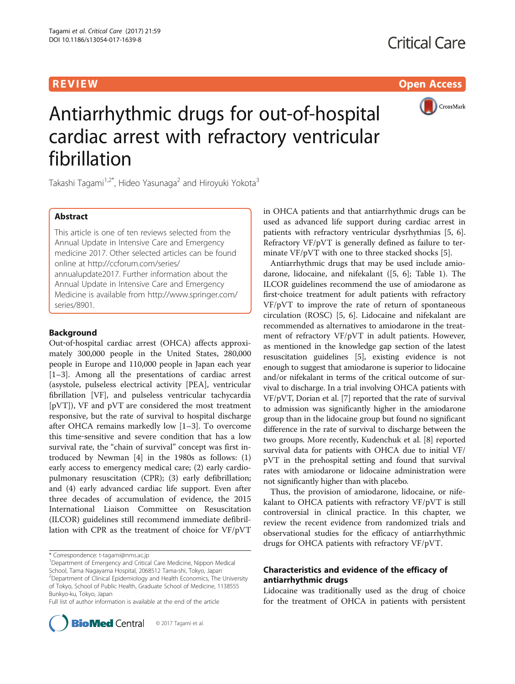R EVI EW Open Access



# Antiarrhythmic drugs for out-of-hospital cardiac arrest with refractory ventricular fibrillation

Takashi Tagami<sup>1,2\*</sup>, Hideo Yasunaga<sup>2</sup> and Hiroyuki Yokota<sup>3</sup>

# Abstract

This article is one of ten reviews selected from the Annual Update in Intensive Care and Emergency medicine 2017. Other selected articles can be found online at [http://ccforum.com/series/](http://ccforum.com/series/annualupdate2017) [annualupdate2017.](http://ccforum.com/series/annualupdate2017) Further information about the Annual Update in Intensive Care and Emergency Medicine is available from [http://www.springer.com/](http://www.springer.com/series/8901) [series/8901.](http://www.springer.com/series/8901)

# Background

Out-of-hospital cardiac arrest (OHCA) affects approximately 300,000 people in the United States, 280,000 people in Europe and 110,000 people in Japan each year [[1](#page-4-0)–[3\]](#page-4-0). Among all the presentations of cardiac arrest (asystole, pulseless electrical activity [PEA], ventricular fibrillation [VF], and pulseless ventricular tachycardia [pVT]), VF and pVT are considered the most treatment responsive, but the rate of survival to hospital discharge after OHCA remains markedly low [[1](#page-4-0)–[3](#page-4-0)]. To overcome this time‐sensitive and severe condition that has a low survival rate, the "chain of survival" concept was first introduced by Newman [[4](#page-4-0)] in the 1980s as follows: (1) early access to emergency medical care; (2) early cardiopulmonary resuscitation (CPR); (3) early defibrillation; and (4) early advanced cardiac life support. Even after three decades of accumulation of evidence, the 2015 International Liaison Committee on Resuscitation (ILCOR) guidelines still recommend immediate defibrillation with CPR as the treatment of choice for VF/pVT

Full list of author information is available at the end of the article



in OHCA patients and that antiarrhythmic drugs can be used as advanced life support during cardiac arrest in patients with refractory ventricular dysrhythmias [\[5, 6](#page-4-0)]. Refractory VF/pVT is generally defined as failure to terminate VF/pVT with one to three stacked shocks [[5\]](#page-4-0).

Antiarrhythmic drugs that may be used include amiodarone, lidocaine, and nifekalant ([\[5, 6\]](#page-4-0); Table [1](#page-1-0)). The ILCOR guidelines recommend the use of amiodarone as first-choice treatment for adult patients with refractory VF/pVT to improve the rate of return of spontaneous circulation (ROSC) [\[5, 6](#page-4-0)]. Lidocaine and nifekalant are recommended as alternatives to amiodarone in the treatment of refractory VF/pVT in adult patients. However, as mentioned in the knowledge gap section of the latest resuscitation guidelines [\[5](#page-4-0)], existing evidence is not enough to suggest that amiodarone is superior to lidocaine and/or nifekalant in terms of the critical outcome of survival to discharge. In a trial involving OHCA patients with VF/pVT, Dorian et al. [[7\]](#page-4-0) reported that the rate of survival to admission was significantly higher in the amiodarone group than in the lidocaine group but found no significant difference in the rate of survival to discharge between the two groups. More recently, Kudenchuk et al. [\[8](#page-4-0)] reported survival data for patients with OHCA due to initial VF/ pVT in the prehospital setting and found that survival rates with amiodarone or lidocaine administration were not significantly higher than with placebo.

Thus, the provision of amiodarone, lidocaine, or nifekalant to OHCA patients with refractory VF/pVT is still controversial in clinical practice. In this chapter, we review the recent evidence from randomized trials and observational studies for the efficacy of antiarrhythmic drugs for OHCA patients with refractory VF/pVT.

# Characteristics and evidence of the efficacy of antiarrhythmic drugs

Lidocaine was traditionally used as the drug of choice for the treatment of OHCA in patients with persistent

<sup>\*</sup> Correspondence: [t-tagami@nms.ac.jp](mailto:t-tagami@nms.ac.jp) <sup>1</sup>

<sup>&</sup>lt;sup>1</sup> Department of Emergency and Critical Care Medicine, Nippon Medical

School, Tama Nagayama Hospital, 2068512 Tama-shi, Tokyo, Japan <sup>2</sup> Department of Clinical Epidemiology and Health Economics, The University of Tokyo, School of Public Health, Graduate School of Medicine, 1138555 Bunkyo-ku, Tokyo, Japan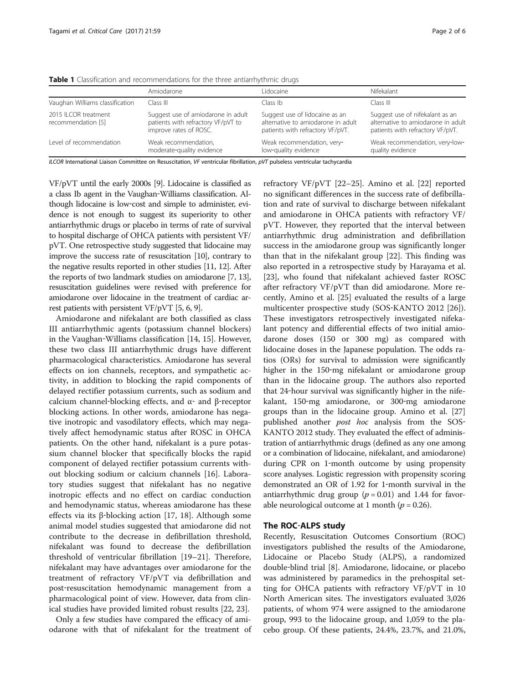|                                                                                                                            | Amiodarone                                                                                         | l idocaine                                                                                               | Nifekalant                                                                                                |
|----------------------------------------------------------------------------------------------------------------------------|----------------------------------------------------------------------------------------------------|----------------------------------------------------------------------------------------------------------|-----------------------------------------------------------------------------------------------------------|
| Vaughan Williams classification                                                                                            | Class III                                                                                          | Class Ib.                                                                                                | Class III                                                                                                 |
| 2015 II COR treatment<br>recommendation [5]                                                                                | Suggest use of amiodarone in adult<br>patients with refractory VF/pVT to<br>improve rates of ROSC. | Suggest use of lidocaine as an<br>alternative to amiodarone in adult<br>patients with refractory VF/pVT. | Suggest use of nifekalant as an<br>alternative to amiodarone in adult<br>patients with refractory VF/pVT. |
| Level of recommendation                                                                                                    | Weak recommendation,<br>moderate-quality evidence                                                  | Weak recommendation, very-<br>low-quality evidence                                                       | Weak recommendation, very-low-<br>quality evidence                                                        |
| ILCOR International Liaison Committee on Resuscitation, VF ventricular fibrillation, pVT pulseless ventricular tachycardia |                                                                                                    |                                                                                                          |                                                                                                           |

<span id="page-1-0"></span>Table 1 Classification and recommendations for the three antiarrhythmic drugs

VF/pVT until the early 2000s [\[9\]](#page-4-0). Lidocaine is classified as a class Ib agent in the Vaughan‐Williams classification. Although lidocaine is low‐cost and simple to administer, evidence is not enough to suggest its superiority to other antiarrhythmic drugs or placebo in terms of rate of survival to hospital discharge of OHCA patients with persistent VF/ pVT. One retrospective study suggested that lidocaine may improve the success rate of resuscitation [[10](#page-4-0)], contrary to the negative results reported in other studies [[11](#page-4-0), [12](#page-4-0)]. After the reports of two landmark studies on amiodarone [\[7](#page-4-0), [13](#page-4-0)], resuscitation guidelines were revised with preference for amiodarone over lidocaine in the treatment of cardiac arrest patients with persistent VF/pVT [[5, 6, 9](#page-4-0)].

Amiodarone and nifekalant are both classified as class III antiarrhythmic agents (potassium channel blockers) in the Vaughan‐Williams classification [\[14](#page-4-0), [15](#page-4-0)]. However, these two class III antiarrhythmic drugs have different pharmacological characteristics. Amiodarone has several effects on ion channels, receptors, and sympathetic activity, in addition to blocking the rapid components of delayed rectifier potassium currents, such as sodium and calcium channel-blocking effects, and  $α$ - and β-receptor blocking actions. In other words, amiodarone has negative inotropic and vasodilatory effects, which may negatively affect hemodynamic status after ROSC in OHCA patients. On the other hand, nifekalant is a pure potassium channel blocker that specifically blocks the rapid component of delayed rectifier potassium currents without blocking sodium or calcium channels [\[16](#page-4-0)]. Laboratory studies suggest that nifekalant has no negative inotropic effects and no effect on cardiac conduction and hemodynamic status, whereas amiodarone has these effects via its β‐blocking action [[17, 18](#page-4-0)]. Although some animal model studies suggested that amiodarone did not contribute to the decrease in defibrillation threshold, nifekalant was found to decrease the defibrillation threshold of ventricular fibrillation [\[19](#page-4-0)–[21\]](#page-4-0). Therefore, nifekalant may have advantages over amiodarone for the treatment of refractory VF/pVT via defibrillation and post‐resuscitation hemodynamic management from a pharmacological point of view. However, data from clinical studies have provided limited robust results [[22](#page-4-0), [23](#page-4-0)].

Only a few studies have compared the efficacy of amiodarone with that of nifekalant for the treatment of refractory VF/pVT [\[22](#page-4-0)–[25\]](#page-5-0). Amino et al. [\[22](#page-4-0)] reported no significant differences in the success rate of defibrillation and rate of survival to discharge between nifekalant and amiodarone in OHCA patients with refractory VF/ pVT. However, they reported that the interval between antiarrhythmic drug administration and defibrillation success in the amiodarone group was significantly longer than that in the nifekalant group [\[22\]](#page-4-0). This finding was also reported in a retrospective study by Harayama et al. [[23\]](#page-4-0), who found that nifekalant achieved faster ROSC after refractory VF/pVT than did amiodarone. More recently, Amino et al. [[25\]](#page-5-0) evaluated the results of a large multicenter prospective study (SOS‐KANTO 2012 [\[26](#page-5-0)]). These investigators retrospectively investigated nifekalant potency and differential effects of two initial amiodarone doses (150 or 300 mg) as compared with lidocaine doses in the Japanese population. The odds ratios (ORs) for survival to admission were significantly higher in the 150-mg nifekalant or amiodarone group than in the lidocaine group. The authors also reported that 24‐hour survival was significantly higher in the nifekalant, 150‐mg amiodarone, or 300‐mg amiodarone groups than in the lidocaine group. Amino et al. [[27](#page-5-0)] published another *post hoc* analysis from the SOS-KANTO 2012 study. They evaluated the effect of administration of antiarrhythmic drugs (defined as any one among or a combination of lidocaine, nifekalant, and amiodarone) during CPR on 1‐month outcome by using propensity score analyses. Logistic regression with propensity scoring demonstrated an OR of 1.92 for 1‐month survival in the antiarrhythmic drug group ( $p = 0.01$ ) and 1.44 for favorable neurological outcome at 1 month ( $p = 0.26$ ).

# The ROC‐ALPS study

Recently, Resuscitation Outcomes Consortium (ROC) investigators published the results of the Amiodarone, Lidocaine or Placebo Study (ALPS), a randomized double‐blind trial [[8\]](#page-4-0). Amiodarone, lidocaine, or placebo was administered by paramedics in the prehospital setting for OHCA patients with refractory VF/pVT in 10 North American sites. The investigators evaluated 3,026 patients, of whom 974 were assigned to the amiodarone group, 993 to the lidocaine group, and 1,059 to the placebo group. Of these patients, 24.4%, 23.7%, and 21.0%,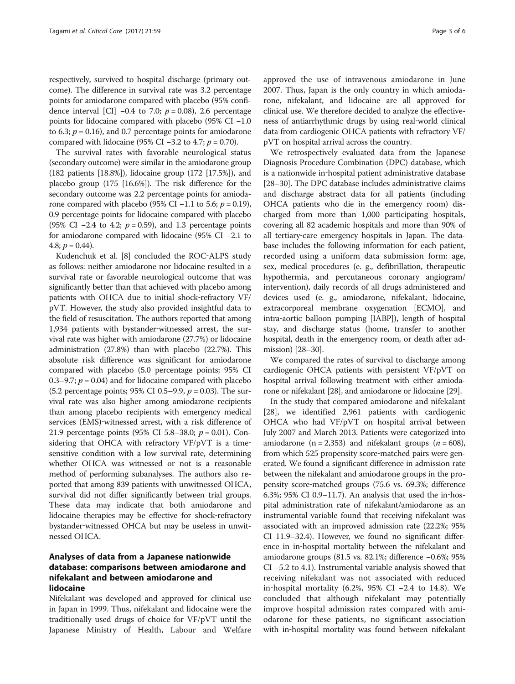respectively, survived to hospital discharge (primary outcome). The difference in survival rate was 3.2 percentage points for amiodarone compared with placebo (95% confidence interval [CI]  $-0.4$  to 7.0;  $p = 0.08$ ), 2.6 percentage points for lidocaine compared with placebo (95% CI −1.0 to 6.3;  $p = 0.16$ ), and 0.7 percentage points for amiodarone compared with lidocaine (95% CI –3.2 to 4.7;  $p = 0.70$ ).

The survival rates with favorable neurological status (secondary outcome) were similar in the amiodarone group (182 patients [18.8%]), lidocaine group (172 [17.5%]), and placebo group (175 [16.6%]). The risk difference for the secondary outcome was 2.2 percentage points for amiodarone compared with placebo (95% CI −1.1 to 5.6;  $p = 0.19$ ), 0.9 percentage points for lidocaine compared with placebo (95% CI –2.4 to 4.2;  $p = 0.59$ ), and 1.3 percentage points for amiodarone compared with lidocaine (95% CI −2.1 to 4.8;  $p = 0.44$ ).

Kudenchuk et al. [\[8](#page-4-0)] concluded the ROC‐ALPS study as follows: neither amiodarone nor lidocaine resulted in a survival rate or favorable neurological outcome that was significantly better than that achieved with placebo among patients with OHCA due to initial shock-refractory VF/ pVT. However, the study also provided insightful data to the field of resuscitation. The authors reported that among 1,934 patients with bystander‐witnessed arrest, the survival rate was higher with amiodarone (27.7%) or lidocaine administration (27.8%) than with placebo (22.7%). This absolute risk difference was significant for amiodarone compared with placebo (5.0 percentage points; 95% CI 0.3–9.7;  $p = 0.04$ ) and for lidocaine compared with placebo (5.2 percentage points; 95% CI 0.5–9.9,  $p = 0.03$ ). The survival rate was also higher among amiodarone recipients than among placebo recipients with emergency medical services (EMS)-witnessed arrest, with a risk difference of 21.9 percentage points (95% CI 5.8–38.0;  $p = 0.01$ ). Considering that OHCA with refractory VF/pVT is a timesensitive condition with a low survival rate, determining whether OHCA was witnessed or not is a reasonable method of performing subanalyses. The authors also reported that among 839 patients with unwitnessed OHCA, survival did not differ significantly between trial groups. These data may indicate that both amiodarone and lidocaine therapies may be effective for shock‐refractory bystander‐witnessed OHCA but may be useless in unwitnessed OHCA.

# Analyses of data from a Japanese nationwide database: comparisons between amiodarone and nifekalant and between amiodarone and lidocaine

Nifekalant was developed and approved for clinical use in Japan in 1999. Thus, nifekalant and lidocaine were the traditionally used drugs of choice for VF/pVT until the Japanese Ministry of Health, Labour and Welfare approved the use of intravenous amiodarone in June 2007. Thus, Japan is the only country in which amiodarone, nifekalant, and lidocaine are all approved for clinical use. We therefore decided to analyze the effectiveness of antiarrhythmic drugs by using real‐world clinical data from cardiogenic OHCA patients with refractory VF/ pVT on hospital arrival across the country.

We retrospectively evaluated data from the Japanese Diagnosis Procedure Combination (DPC) database, which is a nationwide in‐hospital patient administrative database [[28](#page-5-0)–[30\]](#page-5-0). The DPC database includes administrative claims and discharge abstract data for all patients (including OHCA patients who die in the emergency room) discharged from more than 1,000 participating hospitals, covering all 82 academic hospitals and more than 90% of all tertiary‐care emergency hospitals in Japan. The database includes the following information for each patient, recorded using a uniform data submission form: age, sex, medical procedures (e. g., defibrillation, therapeutic hypothermia, and percutaneous coronary angiogram/ intervention), daily records of all drugs administered and devices used (e. g., amiodarone, nifekalant, lidocaine, extracorporeal membrane oxygenation [ECMO], and intra‐aortic balloon pumping [IABP]), length of hospital stay, and discharge status (home, transfer to another hospital, death in the emergency room, or death after admission) [\[28](#page-5-0)–[30](#page-5-0)].

We compared the rates of survival to discharge among cardiogenic OHCA patients with persistent VF/pVT on hospital arrival following treatment with either amiodarone or nifekalant [[28](#page-5-0)], and amiodarone or lidocaine [[29](#page-5-0)].

In the study that compared amiodarone and nifekalant [[28\]](#page-5-0), we identified 2,961 patients with cardiogenic OHCA who had VF/pVT on hospital arrival between July 2007 and March 2013. Patients were categorized into amiodarone (n = 2,353) and nifekalant groups ( $n = 608$ ), from which 525 propensity score-matched pairs were generated. We found a significant difference in admission rate between the nifekalant and amiodarone groups in the propensity score‐matched groups (75.6 vs. 69.3%; difference 6.3%; 95% CI 0.9–11.7). An analysis that used the in‐hospital administration rate of nifekalant/amiodarone as an instrumental variable found that receiving nifekalant was associated with an improved admission rate (22.2%; 95% CI 11.9–32.4). However, we found no significant difference in in‐hospital mortality between the nifekalant and amiodarone groups (81.5 vs. 82.1%; difference −0.6%; 95% CI −5.2 to 4.1). Instrumental variable analysis showed that receiving nifekalant was not associated with reduced in‐hospital mortality (6.2%, 95% CI −2.4 to 14.8). We concluded that although nifekalant may potentially improve hospital admission rates compared with amiodarone for these patients, no significant association with in-hospital mortality was found between nifekalant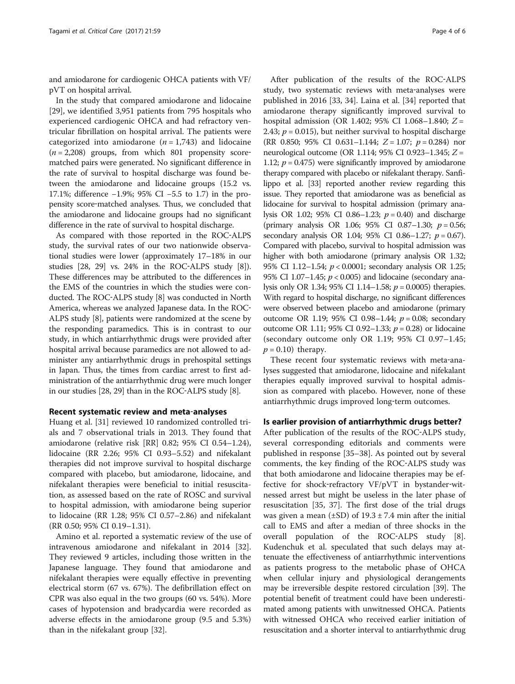and amiodarone for cardiogenic OHCA patients with VF/ pVT on hospital arrival.

In the study that compared amiodarone and lidocaine [[29\]](#page-5-0), we identified 3,951 patients from 795 hospitals who experienced cardiogenic OHCA and had refractory ventricular fibrillation on hospital arrival. The patients were categorized into amiodarone  $(n = 1,743)$  and lidocaine  $(n = 2,208)$  groups, from which 801 propensity scorematched pairs were generated. No significant difference in the rate of survival to hospital discharge was found between the amiodarone and lidocaine groups (15.2 vs. 17.1%; difference −1.9%; 95% CI −5.5 to 1.7) in the propensity score‐matched analyses. Thus, we concluded that the amiodarone and lidocaine groups had no significant difference in the rate of survival to hospital discharge.

As compared with those reported in the ROC‐ALPS study, the survival rates of our two nationwide observational studies were lower (approximately 17–18% in our studies [[28](#page-5-0), [29](#page-5-0)] vs. 24% in the ROC‐ALPS study [\[8](#page-4-0)]). These differences may be attributed to the differences in the EMS of the countries in which the studies were conducted. The ROC‐ALPS study [\[8\]](#page-4-0) was conducted in North America, whereas we analyzed Japanese data. In the ROC‐ ALPS study [[8\]](#page-4-0), patients were randomized at the scene by the responding paramedics. This is in contrast to our study, in which antiarrhythmic drugs were provided after hospital arrival because paramedics are not allowed to administer any antiarrhythmic drugs in prehospital settings in Japan. Thus, the times from cardiac arrest to first administration of the antiarrhythmic drug were much longer in our studies [[28, 29\]](#page-5-0) than in the ROC‐ALPS study [[8](#page-4-0)].

### Recent systematic review and meta‐analyses

Huang et al. [\[31\]](#page-5-0) reviewed 10 randomized controlled trials and 7 observational trials in 2013. They found that amiodarone (relative risk [RR] 0.82; 95% CI 0.54–1.24), lidocaine (RR 2.26; 95% CI 0.93–5.52) and nifekalant therapies did not improve survival to hospital discharge compared with placebo, but amiodarone, lidocaine, and nifekalant therapies were beneficial to initial resuscitation, as assessed based on the rate of ROSC and survival to hospital admission, with amiodarone being superior to lidocaine (RR 1.28; 95% CI 0.57–2.86) and nifekalant (RR 0.50; 95% CI 0.19–1.31).

Amino et al. reported a systematic review of the use of intravenous amiodarone and nifekalant in 2014 [\[32](#page-5-0)]. They reviewed 9 articles, including those written in the Japanese language. They found that amiodarone and nifekalant therapies were equally effective in preventing electrical storm (67 vs. 67%). The defibrillation effect on CPR was also equal in the two groups (60 vs. 54%). More cases of hypotension and bradycardia were recorded as adverse effects in the amiodarone group (9.5 and 5.3%) than in the nifekalant group [[32\]](#page-5-0).

After publication of the results of the ROC‐ALPS study, two systematic reviews with meta-analyses were published in 2016 [\[33, 34\]](#page-5-0). Laina et al. [[34](#page-5-0)] reported that amiodarone therapy significantly improved survival to hospital admission (OR 1.402; 95% CI 1.068–1.840; Z = 2.43;  $p = 0.015$ ), but neither survival to hospital discharge (RR 0.850; 95% CI 0.631–1.144;  $Z = 1.07$ ;  $p = 0.284$ ) nor neurological outcome (OR 1.114; 95% CI 0.923–1.345; Z = 1.12;  $p = 0.475$ ) were significantly improved by amiodarone therapy compared with placebo or nifekalant therapy. Sanfilippo et al. [\[33\]](#page-5-0) reported another review regarding this issue. They reported that amiodarone was as beneficial as lidocaine for survival to hospital admission (primary analysis OR 1.02; 95% CI 0.86–1.23;  $p = 0.40$ ) and discharge (primary analysis OR 1.06; 95% CI 0.87-1.30;  $p = 0.56$ ; secondary analysis OR 1.04; 95% CI 0.86-1.27;  $p = 0.67$ ). Compared with placebo, survival to hospital admission was higher with both amiodarone (primary analysis OR 1.32; 95% CI 1.12–1.54; p < 0.0001; secondary analysis OR 1.25; 95% CI 1.07-1.45;  $p < 0.005$ ) and lidocaine (secondary analysis only OR 1.34; 95% CI 1.14–1.58;  $p = 0.0005$ ) therapies. With regard to hospital discharge, no significant differences were observed between placebo and amiodarone (primary outcome OR 1.19; 95% CI 0.98–1.44;  $p = 0.08$ ; secondary outcome OR 1.11; 95% CI 0.92–1.33;  $p = 0.28$ ) or lidocaine (secondary outcome only OR 1.19; 95% CI 0.97–1.45;  $p = 0.10$ ) therapy.

These recent four systematic reviews with meta-analyses suggested that amiodarone, lidocaine and nifekalant therapies equally improved survival to hospital admission as compared with placebo. However, none of these antiarrhythmic drugs improved long‐term outcomes.

# Is earlier provision of antiarrhythmic drugs better?

After publication of the results of the ROC‐ALPS study, several corresponding editorials and comments were published in response [\[35](#page-5-0)–[38\]](#page-5-0). As pointed out by several comments, the key finding of the ROC‐ALPS study was that both amiodarone and lidocaine therapies may be effective for shock-refractory VF/pVT in bystander-witnessed arrest but might be useless in the later phase of resuscitation [\[35](#page-5-0), [37\]](#page-5-0). The first dose of the trial drugs was given a mean  $(\pm SD)$  of  $19.3 \pm 7.4$  min after the initial call to EMS and after a median of three shocks in the overall population of the ROC‐ALPS study [\[8](#page-4-0)]. Kudenchuk et al. speculated that such delays may attenuate the effectiveness of antiarrhythmic interventions as patients progress to the metabolic phase of OHCA when cellular injury and physiological derangements may be irreversible despite restored circulation [\[39\]](#page-5-0). The potential benefit of treatment could have been underestimated among patients with unwitnessed OHCA. Patients with witnessed OHCA who received earlier initiation of resuscitation and a shorter interval to antiarrhythmic drug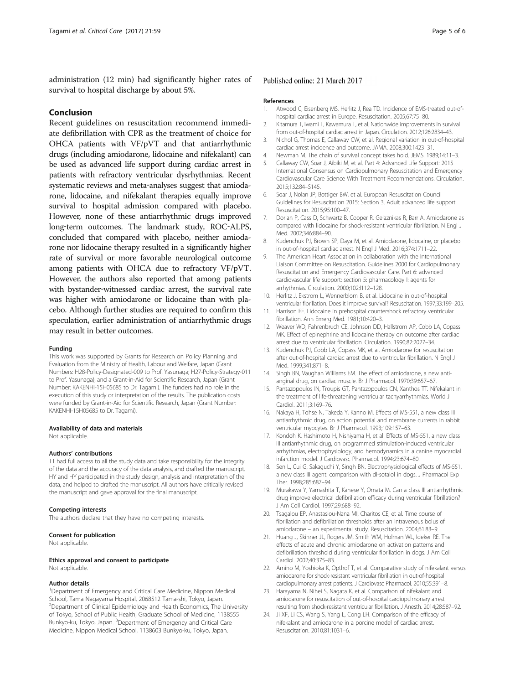<span id="page-4-0"></span>administration (12 min) had significantly higher rates of survival to hospital discharge by about 5%.

# Conclusion

Recent guidelines on resuscitation recommend immediate defibrillation with CPR as the treatment of choice for OHCA patients with VF/pVT and that antiarrhythmic drugs (including amiodarone, lidocaine and nifekalant) can be used as advanced life support during cardiac arrest in patients with refractory ventricular dysrhythmias. Recent systematic reviews and meta-analyses suggest that amiodarone, lidocaine, and nifekalant therapies equally improve survival to hospital admission compared with placebo. However, none of these antiarrhythmic drugs improved long‐term outcomes. The landmark study, ROC‐ALPS, concluded that compared with placebo, neither amiodarone nor lidocaine therapy resulted in a significantly higher rate of survival or more favorable neurological outcome among patients with OHCA due to refractory VF/pVT. However, the authors also reported that among patients with bystander-witnessed cardiac arrest, the survival rate was higher with amiodarone or lidocaine than with placebo. Although further studies are required to confirm this speculation, earlier administration of antiarrhythmic drugs may result in better outcomes.

#### Funding

This work was supported by Grants for Research on Policy Planning and Evaluation from the Ministry of Health, Labour and Welfare, Japan (Grant Numbers: H28-Policy-Designated-009 to Prof. Yasunaga; H27-Policy-Strategy-011 to Prof. Yasunaga), and a Grant-in-Aid for Scientific Research, Japan (Grant Number: KAKENHI-15H05685 to Dr. Tagami). The funders had no role in the execution of this study or interpretation of the results. The publication costs were funded by Grant-in-Aid for Scientific Research, Japan (Grant Number: KAKENHI-15H05685 to Dr. Tagami).

# Availability of data and materials

Not applicable.

#### Authors' contributions

TT had full access to all the study data and take responsibility for the integrity of the data and the accuracy of the data analysis, and drafted the manuscript. HY and HY participated in the study design, analysis and interpretation of the data, and helped to drafted the manuscript. All authors have critically revised the manuscript and gave approval for the final manuscript.

#### Competing interests

The authors declare that they have no competing interests.

#### Consent for publication

Not applicable.

Ethics approval and consent to participate Not applicable.

#### Author details

<sup>1</sup>Department of Emergency and Critical Care Medicine, Nippon Medical School, Tama Nagayama Hospital, 2068512 Tama-shi, Tokyo, Japan. <sup>2</sup> Department of Clinical Epidemiology and Health Economics, The University of Tokyo, School of Public Health, Graduate School of Medicine, 1138555 Bunkyo-ku, Tokyo, Japan. <sup>3</sup>Department of Emergency and Critical Care Medicine, Nippon Medical School, 1138603 Bunkyo-ku, Tokyo, Japan.

## Published online: 21 March 2017

#### References

- Atwood C, Eisenberg MS, Herlitz J, Rea TD. Incidence of EMS-treated out-ofhospital cardiac arrest in Europe. Resuscitation. 2005;67:75–80.
- 2. Kitamura T, Iwami T, Kawamura T, et al. Nationwide improvements in survival from out-of-hospital cardiac arrest in Japan. Circulation. 2012;126:2834–43.
- 3. Nichol G, Thomas E, Callaway CW, et al. Regional variation in out-of-hospital cardiac arrest incidence and outcome. JAMA. 2008;300:1423–31.
- 4. Newman M. The chain of survival concept takes hold. JEMS. 1989;14:11–3.
- 5. Callaway CW, Soar J, Aibiki M, et al. Part 4: Advanced Life Support: 2015 International Consensus on Cardiopulmonary Resuscitation and Emergency Cardiovascular Care Science With Treatment Recommendations. Circulation. 2015;132:84–S145.
- 6. Soar J, Nolan JP, Bottiger BW, et al. European Resuscitation Council Guidelines for Resuscitation 2015: Section 3. Adult advanced life support. Resuscitation. 2015;95:100–47.
- 7. Dorian P, Cass D, Schwartz B, Cooper R, Gelaznikas R, Barr A. Amiodarone as compared with lidocaine for shock-resistant ventricular fibrillation. N Engl J Med. 2002;346:884–90.
- 8. Kudenchuk PJ, Brown SP, Daya M, et al. Amiodarone, lidocaine, or placebo in out-of-hospital cardiac arrest. N Engl J Med. 2016;374:1711–22.
- 9. The American Heart Association in collaboration with the International Liaison Committee on Resuscitation. Guidelines 2000 for Cardiopulmonary Resuscitation and Emergency Cardiovascular Care. Part 6: advanced cardiovascular life support: section 5: pharmacology I: agents for arrhythmias. Circulation. 2000;102:I112–128.
- 10. Herlitz J, Ekstrom L, Wennerblom B, et al. Lidocaine in out-of-hospital ventricular fibrillation. Does it improve survival? Resuscitation. 1997;33:199–205.
- 11. Harrison EE. Lidocaine in prehospital countershock refractory ventricular fibrillation. Ann Emerg Med. 1981;10:420–3.
- 12. Weaver WD, Fahrenbruch CE, Johnson DD, Hallstrom AP, Cobb LA, Copass MK. Effect of epinephrine and lidocaine therapy on outcome after cardiac arrest due to ventricular fibrillation. Circulation. 1990;82:2027–34.
- 13. Kudenchuk PJ, Cobb LA, Copass MK, et al. Amiodarone for resuscitation after out-of-hospital cardiac arrest due to ventricular fibrillation. N Engl J Med. 1999;341:871–8.
- 14. Singh BN, Vaughan Williams EM. The effect of amiodarone, a new antianginal drug, on cardiac muscle. Br J Pharmacol. 1970;39:657–67.
- 15. Pantazopoulos IN, Troupis GT, Pantazopoulos CN, Xanthos TT. Nifekalant in the treatment of life-threatening ventricular tachyarrhythmias. World J Cardiol. 2011;3:169–76.
- 16. Nakaya H, Tohse N, Takeda Y, Kanno M. Effects of MS-551, a new class III antiarrhythmic drug, on action potential and membrane currents in rabbit ventricular myocytes. Br J Pharmacol. 1993;109:157–63.
- 17. Kondoh K, Hashimoto H, Nishiyama H, et al. Effects of MS-551, a new class III antiarrhythmic drug, on programmed stimulation-induced ventricular arrhythmias, electrophysiology, and hemodynamics in a canine myocardial infarction model. J Cardiovasc Pharmacol. 1994;23:674–80.
- 18. Sen L, Cui G, Sakaguchi Y, Singh BN. Electrophysiological effects of MS-551, a new class III agent: comparison with dl-sotalol in dogs. J Pharmacol Exp Ther. 1998;285:687–94.
- 19. Murakawa Y, Yamashita T, Kanese Y, Omata M. Can a class III antiarrhythmic drug improve electrical defibrillation efficacy during ventricular fibrillation? J Am Coll Cardiol. 1997;29:688–92.
- 20. Tsagalou EP, Anastasiou-Nana MI, Charitos CE, et al. Time course of fibrillation and defibrillation thresholds after an intravenous bolus of amiodarone – an experimental study. Resuscitation. 2004;61:83–9.
- 21. Huang J, Skinner JL, Rogers JM, Smith WM, Holman WL, Ideker RE. The effects of acute and chronic amiodarone on activation patterns and defibrillation threshold during ventricular fibrillation in dogs. J Am Coll Cardiol. 2002;40:375–83.
- 22. Amino M, Yoshioka K, Opthof T, et al. Comparative study of nifekalant versus amiodarone for shock-resistant ventricular fibrillation in out-of-hospital cardiopulmonary arrest patients. J Cardiovasc Pharmacol. 2010;55:391–8.
- 23. Harayama N, Nihei S, Nagata K, et al. Comparison of nifekalant and amiodarone for resuscitation of out-of-hospital cardiopulmonary arrest resulting from shock-resistant ventricular fibrillation. J Anesth. 2014;28:587–92.
- 24. Ji XF, Li CS, Wang S, Yang L, Cong LH. Comparison of the efficacy of nifekalant and amiodarone in a porcine model of cardiac arrest. Resuscitation. 2010;81:1031–6.